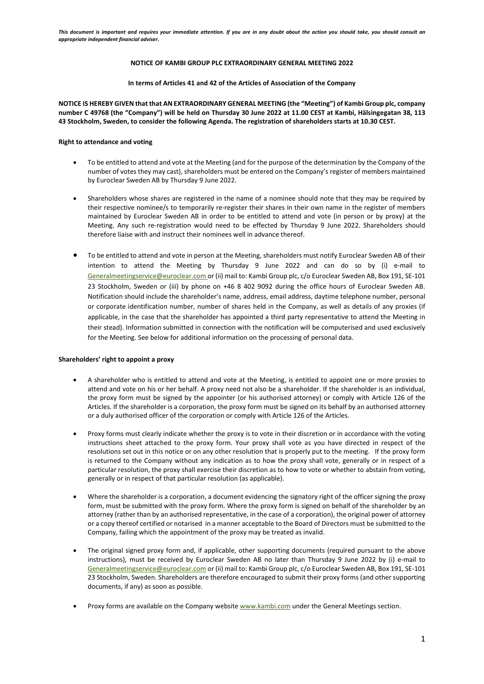## **NOTICE OF KAMBI GROUP PLC EXTRAORDINARY GENERAL MEETING 2022**

#### **In terms of Articles 41 and 42 of the Articles of Association of the Company**

**NOTICE IS HEREBY GIVEN that that AN EXTRAORDINARY GENERAL MEETING (the "Meeting") of Kambi Group plc, company number C 49768 (the "Company") will be held on Thursday 30 June 2022 at 11.00 CEST at Kambi, Hälsingegatan 38, 113 43 Stockholm, Sweden, to consider the following Agenda. The registration of shareholders starts at 10.30 CEST.**

## **Right to attendance and voting**

- To be entitled to attend and vote at the Meeting (and for the purpose of the determination by the Company of the number of votes they may cast), shareholders must be entered on the Company's register of members maintained by Euroclear Sweden AB by Thursday 9 June 2022.
- Shareholders whose shares are registered in the name of a nominee should note that they may be required by their respective nominee/s to temporarily re-register their shares in their own name in the register of members maintained by Euroclear Sweden AB in order to be entitled to attend and vote (in person or by proxy) at the Meeting. Any such re-registration would need to be effected by Thursday 9 June 2022. Shareholders should therefore liaise with and instruct their nominees well in advance thereof.
- To be entitled to attend and vote in person at the Meeting, shareholders must notify Euroclear Sweden AB of their intention to attend the Meeting by Thursday 9 June 2022 and can do so by (i) e-mail to [Generalmeetingservice@euroclear.com](mailto:Generalmeetingservice@euroclear.com) or (ii) mail to: Kambi Group plc, c/o Euroclear Sweden AB, Box 191, SE-101 23 Stockholm, Sweden or (iii) by phone on +46 8 402 9092 during the office hours of Euroclear Sweden AB. Notification should include the shareholder's name, address, email address, daytime telephone number, personal or corporate identification number, number of shares held in the Company, as well as details of any proxies (if applicable, in the case that the shareholder has appointed a third party representative to attend the Meeting in their stead). Information submitted in connection with the notification will be computerised and used exclusively for the Meeting. See below for additional information on the processing of personal data.

#### **Shareholders' right to appoint a proxy**

- A shareholder who is entitled to attend and vote at the Meeting, is entitled to appoint one or more proxies to attend and vote on his or her behalf. A proxy need not also be a shareholder. If the shareholder is an individual, the proxy form must be signed by the appointer (or his authorised attorney) or comply with Article 126 of the Articles. If the shareholder is a corporation, the proxy form must be signed on its behalf by an authorised attorney or a duly authorised officer of the corporation or comply with Article 126 of the Articles.
- Proxy forms must clearly indicate whether the proxy is to vote in their discretion or in accordance with the voting instructions sheet attached to the proxy form. Your proxy shall vote as you have directed in respect of the resolutions set out in this notice or on any other resolution that is properly put to the meeting. If the proxy form is returned to the Company without any indication as to how the proxy shall vote, generally or in respect of a particular resolution, the proxy shall exercise their discretion as to how to vote or whether to abstain from voting, generally or in respect of that particular resolution (as applicable).
- Where the shareholder is a corporation, a document evidencing the signatory right of the officer signing the proxy form, must be submitted with the proxy form. Where the proxy form is signed on behalf of the shareholder by an attorney (rather than by an authorised representative, in the case of a corporation), the original power of attorney or a copy thereof certified or notarised in a manner acceptable to the Board of Directors must be submitted to the Company, failing which the appointment of the proxy may be treated as invalid.
- The original signed proxy form and, if applicable, other supporting documents (required pursuant to the above instructions), must be received by Euroclear Sweden AB no later than Thursday 9 June 2022 by (i) e-mail to [Generalmeetingservice@euroclear.com](mailto:Generalmeetingservice@euroclear.com) or (ii) mail to: Kambi Group plc, c/o Euroclear Sweden AB, Box 191, SE-101 23 Stockholm, Sweden. Shareholders are therefore encouraged to submit their proxy forms (and other supporting documents, if any) as soon as possible.
- Proxy forms are available on the Company websit[e www.kambi.com](http://www.kambi.com/) under the General Meetings section.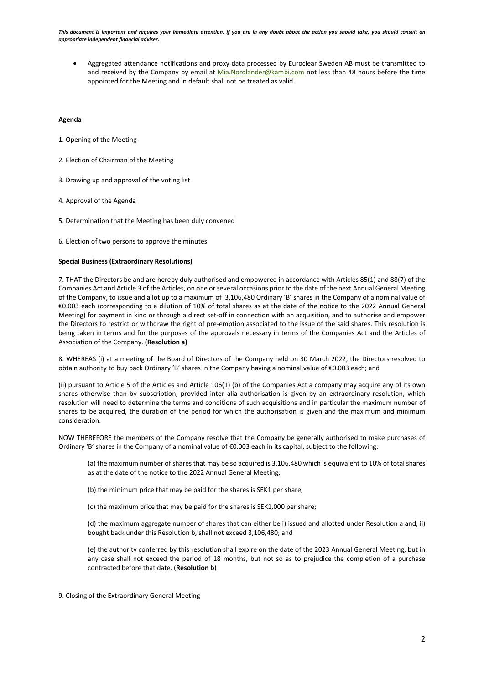• Aggregated attendance notifications and proxy data processed by Euroclear Sweden AB must be transmitted to and received by the Company by email at [Mia.Nordlander@kambi.com](mailto:Mia.Nordlander@kambi.com) not less than 48 hours before the time appointed for the Meeting and in default shall not be treated as valid.

# **Agenda**

- 1. Opening of the Meeting
- 2. Election of Chairman of the Meeting
- 3. Drawing up and approval of the voting list
- 4. Approval of the Agenda
- 5. Determination that the Meeting has been duly convened
- 6. Election of two persons to approve the minutes

# **Special Business (Extraordinary Resolutions)**

7. THAT the Directors be and are hereby duly authorised and empowered in accordance with Articles 85(1) and 88(7) of the Companies Act and Article 3 of the Articles, on one or several occasions prior to the date of the next Annual General Meeting of the Company, to issue and allot up to a maximum of 3,106,480 Ordinary 'B' shares in the Company of a nominal value of €0.003 each (corresponding to a dilution of 10% of total shares as at the date of the notice to the 2022 Annual General Meeting) for payment in kind or through a direct set-off in connection with an acquisition, and to authorise and empower the Directors to restrict or withdraw the right of pre-emption associated to the issue of the said shares. This resolution is being taken in terms and for the purposes of the approvals necessary in terms of the Companies Act and the Articles of Association of the Company. **(Resolution a)**

8. WHEREAS (i) at a meeting of the Board of Directors of the Company held on 30 March 2022, the Directors resolved to obtain authority to buy back Ordinary 'B' shares in the Company having a nominal value of €0.003 each; and

(ii) pursuant to Article 5 of the Articles and Article 106(1) (b) of the Companies Act a company may acquire any of its own shares otherwise than by subscription, provided inter alia authorisation is given by an extraordinary resolution, which resolution will need to determine the terms and conditions of such acquisitions and in particular the maximum number of shares to be acquired, the duration of the period for which the authorisation is given and the maximum and minimum consideration.

NOW THEREFORE the members of the Company resolve that the Company be generally authorised to make purchases of Ordinary 'B' shares in the Company of a nominal value of €0.003 each in its capital, subject to the following:

(a) the maximum number of shares that may be so acquired is 3,106,480 which is equivalent to 10% of total shares as at the date of the notice to the 2022 Annual General Meeting;

(b) the minimum price that may be paid for the shares is SEK1 per share;

(c) the maximum price that may be paid for the shares is SEK1,000 per share;

(d) the maximum aggregate number of shares that can either be i) issued and allotted under Resolution a and, ii) bought back under this Resolution b, shall not exceed 3,106,480; and

(e) the authority conferred by this resolution shall expire on the date of the 2023 Annual General Meeting, but in any case shall not exceed the period of 18 months, but not so as to prejudice the completion of a purchase contracted before that date. (**Resolution b**)

9. Closing of the Extraordinary General Meeting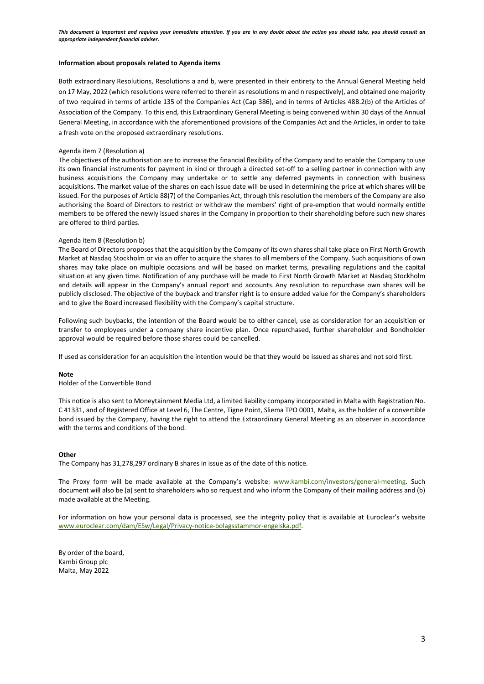#### **Information about proposals related to Agenda items**

Both extraordinary Resolutions, Resolutions a and b, were presented in their entirety to the Annual General Meeting held on 17 May, 2022 (which resolutions were referred to therein as resolutions m and n respectively), and obtained one majority of two required in terms of article 135 of the Companies Act (Cap 386), and in terms of Articles 48B.2(b) of the Articles of Association of the Company. To this end, this Extraordinary General Meeting is being convened within 30 days of the Annual General Meeting, in accordance with the aforementioned provisions of the Companies Act and the Articles, in order to take a fresh vote on the proposed extraordinary resolutions.

## Agenda item 7 (Resolution a)

The objectives of the authorisation are to increase the financial flexibility of the Company and to enable the Company to use its own financial instruments for payment in kind or through a directed set-off to a selling partner in connection with any business acquisitions the Company may undertake or to settle any deferred payments in connection with business acquisitions. The market value of the shares on each issue date will be used in determining the price at which shares will be issued. For the purposes of Article 88(7) of the Companies Act, through this resolution the members of the Company are also authorising the Board of Directors to restrict or withdraw the members' right of pre-emption that would normally entitle members to be offered the newly issued shares in the Company in proportion to their shareholding before such new shares are offered to third parties.

### Agenda item 8 (Resolution b)

The Board of Directors proposes that the acquisition by the Company of its own shares shall take place on First North Growth Market at Nasdaq Stockholm or via an offer to acquire the shares to all members of the Company. Such acquisitions of own shares may take place on multiple occasions and will be based on market terms, prevailing regulations and the capital situation at any given time. Notification of any purchase will be made to First North Growth Market at Nasdaq Stockholm and details will appear in the Company's annual report and accounts. Any resolution to repurchase own shares will be publicly disclosed. The objective of the buyback and transfer right is to ensure added value for the Company's shareholders and to give the Board increased flexibility with the Company's capital structure.

Following such buybacks, the intention of the Board would be to either cancel, use as consideration for an acquisition or transfer to employees under a company share incentive plan. Once repurchased, further shareholder and Bondholder approval would be required before those shares could be cancelled.

If used as consideration for an acquisition the intention would be that they would be issued as shares and not sold first.

#### **Note**

Holder of the Convertible Bond

This notice is also sent to Moneytainment Media Ltd, a limited liability company incorporated in Malta with Registration No. C 41331, and of Registered Office at Level 6, The Centre, Tigne Point, Sliema TPO 0001, Malta, as the holder of a convertible bond issued by the Company, having the right to attend the Extraordinary General Meeting as an observer in accordance with the terms and conditions of the bond.

#### **Other**

The Company has 31,278,297 ordinary B shares in issue as of the date of this notice.

The Proxy form will be made available at the Company's website: [www.kambi.com/investors/general-meeting.](http://www.kambi.com/investors/general-meeting) Such document will also be (a) sent to shareholders who so request and who inform the Company of their mailing address and (b) made available at the Meeting.

For information on how your personal data is processed, see the integrity policy that is available at Euroclear's website [www.euroclear.com/dam/ESw/Legal/Privacy-notice-bolagsstammor-engelska.pdf.](http://www.euroclear.com/dam/ESw/Legal/Privacy-notice-bolagsstammor-engelska.pdf)

By order of the board, Kambi Group plc Malta, May 2022